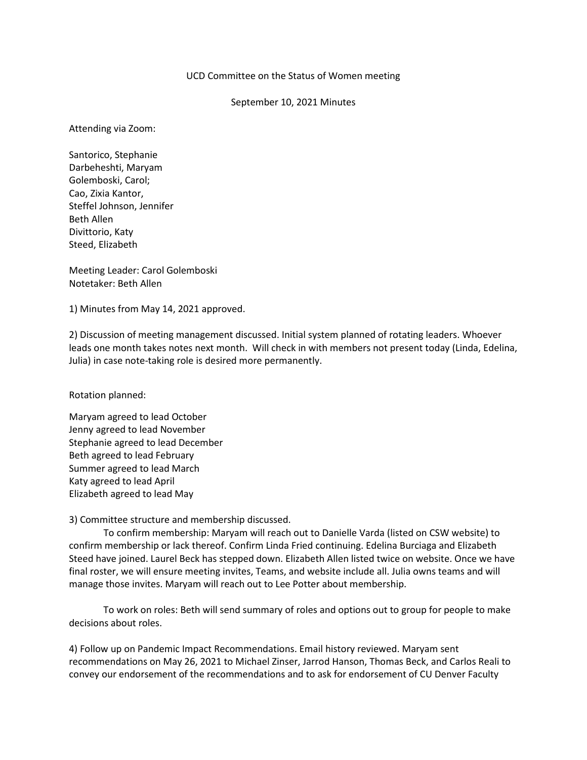## UCD Committee on the Status of Women meeting

## September 10, 2021 Minutes

Attending via Zoom:

Santorico, Stephanie Darbeheshti, Maryam Golemboski, Carol; Cao, Zixia Kantor, Steffel Johnson, Jennifer Beth Allen Divittorio, Katy Steed, Elizabeth

Meeting Leader: Carol Golemboski Notetaker: Beth Allen

1) Minutes from May 14, 2021 approved.

2) Discussion of meeting management discussed. Initial system planned of rotating leaders. Whoever leads one month takes notes next month. Will check in with members not present today (Linda, Edelina, Julia) in case note-taking role is desired more permanently.

Rotation planned:

Maryam agreed to lead October Jenny agreed to lead November Stephanie agreed to lead December Beth agreed to lead February Summer agreed to lead March Katy agreed to lead April Elizabeth agreed to lead May

3) Committee structure and membership discussed.

To confirm membership: Maryam will reach out to Danielle Varda (listed on CSW website) to confirm membership or lack thereof. Confirm Linda Fried continuing. Edelina Burciaga and Elizabeth Steed have joined. Laurel Beck has stepped down. Elizabeth Allen listed twice on website. Once we have final roster, we will ensure meeting invites, Teams, and website include all. Julia owns teams and will manage those invites. Maryam will reach out to Lee Potter about membership.

To work on roles: Beth will send summary of roles and options out to group for people to make decisions about roles.

4) Follow up on Pandemic Impact Recommendations. Email history reviewed. Maryam sent recommendations on May 26, 2021 to Michael Zinser, Jarrod Hanson, Thomas Beck, and Carlos Reali to convey our endorsement of the recommendations and to ask for endorsement of CU Denver Faculty